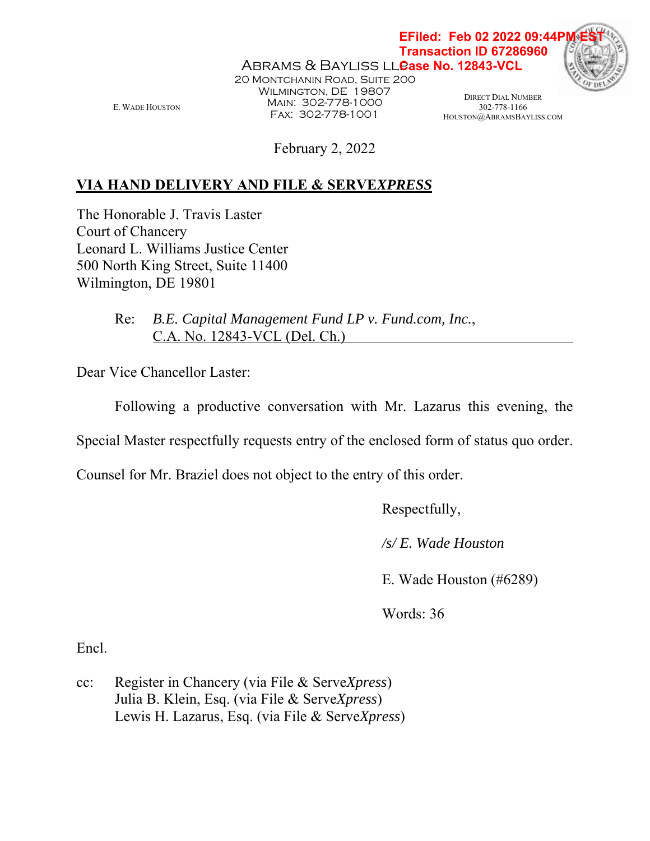E. WADE HOUSTON

Abrams & Bayliss ll<mark>ease No. 12843-VCL</mark> 20 Montchanin Road, Suite 200 WILMINGTON, DE 19807 Main: 302-778-1000 Fax: 302-778-1001

DIRECT DIAL NUMBER 302-778-1166 HOUSTON@ABRAMSBAYLISS.COM

**EFiled: Feb 02 2022 09:44P Transaction ID 67286960**

February 2, 2022

## **VIA HAND DELIVERY AND FILE & SERVE***XPRESS*

The Honorable J. Travis Laster Court of Chancery Leonard L. Williams Justice Center 500 North King Street, Suite 11400 Wilmington, DE 19801

> Re: *B.E. Capital Management Fund LP v. Fund.com, Inc.*, C.A. No. 12843-VCL (Del. Ch.)

Dear Vice Chancellor Laster:

Following a productive conversation with Mr. Lazarus this evening, the

Special Master respectfully requests entry of the enclosed form of status quo order.

Counsel for Mr. Braziel does not object to the entry of this order.

Respectfully,

 */s/ E. Wade Houston* 

E. Wade Houston (#6289)

Words: 36

Encl.

cc: Register in Chancery (via File & Serve*Xpress*) Julia B. Klein, Esq. (via File & Serve*Xpress*) Lewis H. Lazarus, Esq. (via File & Serve*Xpress*)